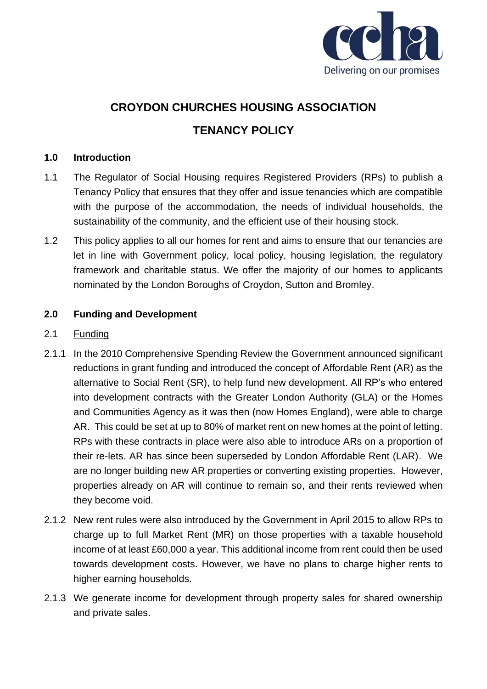

# **CROYDON CHURCHES HOUSING ASSOCIATION TENANCY POLICY**

# **1.0 Introduction**

- 1.1 The Regulator of Social Housing requires Registered Providers (RPs) to publish a Tenancy Policy that ensures that they offer and issue tenancies which are compatible with the purpose of the accommodation, the needs of individual households, the sustainability of the community, and the efficient use of their housing stock.
- 1.2 This policy applies to all our homes for rent and aims to ensure that our tenancies are let in line with Government policy, local policy, housing legislation, the regulatory framework and charitable status. We offer the majority of our homes to applicants nominated by the London Boroughs of Croydon, Sutton and Bromley.

# **2.0 Funding and Development**

# 2.1 Funding

- 2.1.1 In the 2010 Comprehensive Spending Review the Government announced significant reductions in grant funding and introduced the concept of Affordable Rent (AR) as the alternative to Social Rent (SR), to help fund new development. All RP's who entered into development contracts with the Greater London Authority (GLA) or the Homes and Communities Agency as it was then (now Homes England), were able to charge AR. This could be set at up to 80% of market rent on new homes at the point of letting. RPs with these contracts in place were also able to introduce ARs on a proportion of their re-lets. AR has since been superseded by London Affordable Rent (LAR). We are no longer building new AR properties or converting existing properties. However, properties already on AR will continue to remain so, and their rents reviewed when they become void.
- 2.1.2 New rent rules were also introduced by the Government in April 2015 to allow RPs to charge up to full Market Rent (MR) on those properties with a taxable household income of at least £60,000 a year. This additional income from rent could then be used towards development costs. However, we have no plans to charge higher rents to higher earning households.
- 2.1.3 We generate income for development through property sales for shared ownership and private sales.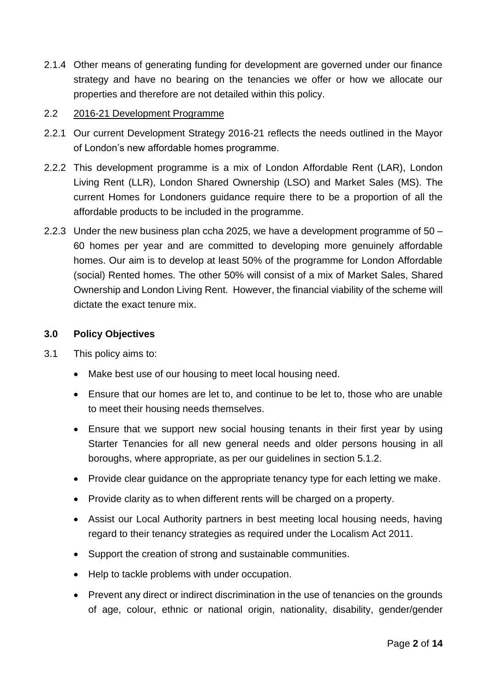2.1.4 Other means of generating funding for development are governed under our finance strategy and have no bearing on the tenancies we offer or how we allocate our properties and therefore are not detailed within this policy.

# 2.2 2016-21 Development Programme

- 2.2.1 Our current Development Strategy 2016-21 reflects the needs outlined in the Mayor of London's new affordable homes programme.
- 2.2.2 This development programme is a mix of London Affordable Rent (LAR), London Living Rent (LLR), London Shared Ownership (LSO) and Market Sales (MS). The current Homes for Londoners guidance require there to be a proportion of all the affordable products to be included in the programme.
- 2.2.3 Under the new business plan ccha 2025, we have a development programme of 50 60 homes per year and are committed to developing more genuinely affordable homes. Our aim is to develop at least 50% of the programme for London Affordable (social) Rented homes. The other 50% will consist of a mix of Market Sales, Shared Ownership and London Living Rent. However, the financial viability of the scheme will dictate the exact tenure mix.

#### **3.0 Policy Objectives**

- 3.1 This policy aims to:
	- Make best use of our housing to meet local housing need.
	- Ensure that our homes are let to, and continue to be let to, those who are unable to meet their housing needs themselves.
	- Ensure that we support new social housing tenants in their first year by using Starter Tenancies for all new general needs and older persons housing in all boroughs, where appropriate, as per our guidelines in section 5.1.2.
	- Provide clear quidance on the appropriate tenancy type for each letting we make.
	- Provide clarity as to when different rents will be charged on a property.
	- Assist our Local Authority partners in best meeting local housing needs, having regard to their tenancy strategies as required under the Localism Act 2011.
	- Support the creation of strong and sustainable communities.
	- Help to tackle problems with under occupation.
	- Prevent any direct or indirect discrimination in the use of tenancies on the grounds of age, colour, ethnic or national origin, nationality, disability, gender/gender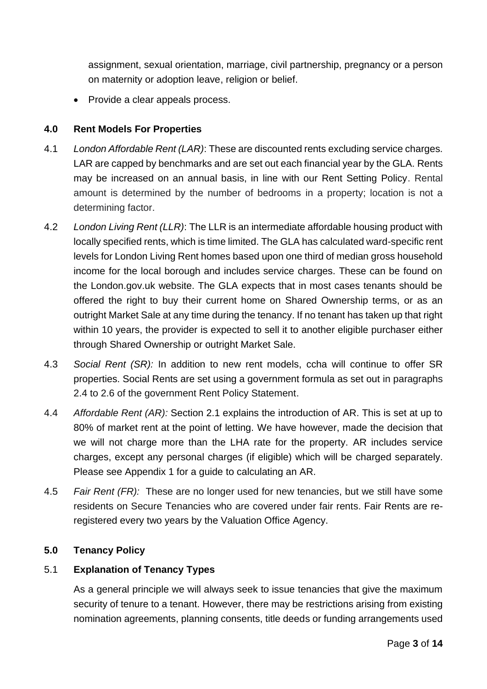assignment, sexual orientation, marriage, civil partnership, pregnancy or a person on maternity or adoption leave, religion or belief.

• Provide a clear appeals process.

# **4.0 Rent Models For Properties**

- 4.1 *London Affordable Rent (LAR)*: These are discounted rents excluding service charges. LAR are capped by benchmarks and are set out each financial year by the GLA. Rents may be increased on an annual basis, in line with our Rent Setting Policy. Rental amount is determined by the number of bedrooms in a property; location is not a determining factor.
- 4.2 *London Living Rent (LLR)*: The LLR is an intermediate affordable housing product with locally specified rents, which is time limited. The GLA has calculated ward-specific rent levels for London Living Rent homes based upon one third of median gross household income for the local borough and includes service charges. These can be found on the London.gov.uk website. The GLA expects that in most cases tenants should be offered the right to buy their current home on Shared Ownership terms, or as an outright Market Sale at any time during the tenancy. If no tenant has taken up that right within 10 years, the provider is expected to sell it to another eligible purchaser either through Shared Ownership or outright Market Sale.
- 4.3 *Social Rent (SR):* In addition to new rent models, ccha will continue to offer SR properties. Social Rents are set using a government formula as set out in paragraphs 2.4 to 2.6 of the government Rent Policy Statement.
- 4.4 *Affordable Rent (AR):* Section 2.1 explains the introduction of AR. This is set at up to 80% of market rent at the point of letting. We have however, made the decision that we will not charge more than the LHA rate for the property. AR includes service charges, except any personal charges (if eligible) which will be charged separately. Please see Appendix 1 for a guide to calculating an AR.
- 4.5 *Fair Rent (FR):* These are no longer used for new tenancies, but we still have some residents on Secure Tenancies who are covered under fair rents. Fair Rents are reregistered every two years by the Valuation Office Agency.

#### **5.0 Tenancy Policy**

# 5.1 **Explanation of Tenancy Types**

As a general principle we will always seek to issue tenancies that give the maximum security of tenure to a tenant. However, there may be restrictions arising from existing nomination agreements, planning consents, title deeds or funding arrangements used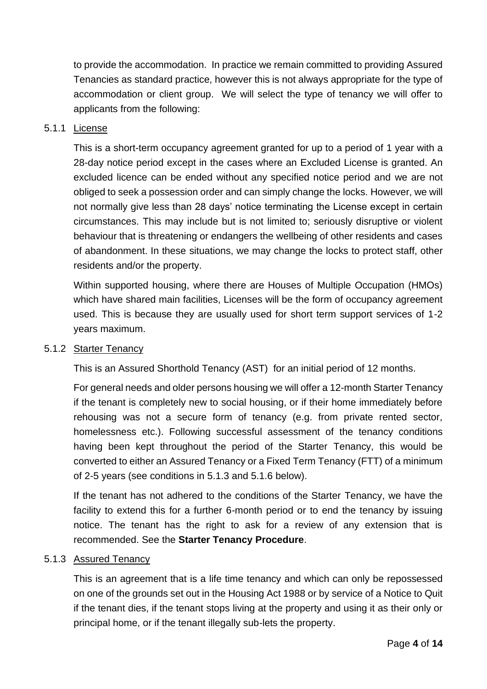to provide the accommodation. In practice we remain committed to providing Assured Tenancies as standard practice, however this is not always appropriate for the type of accommodation or client group. We will select the type of tenancy we will offer to applicants from the following:

#### 5.1.1 License

This is a short-term occupancy agreement granted for up to a period of 1 year with a 28-day notice period except in the cases where an Excluded License is granted. An excluded licence can be ended without any specified notice period and we are not obliged to seek a possession order and can simply change the locks. However, we will not normally give less than 28 days' notice terminating the License except in certain circumstances. This may include but is not limited to; seriously disruptive or violent behaviour that is threatening or endangers the wellbeing of other residents and cases of abandonment. In these situations, we may change the locks to protect staff, other residents and/or the property.

Within supported housing, where there are Houses of Multiple Occupation (HMOs) which have shared main facilities, Licenses will be the form of occupancy agreement used. This is because they are usually used for short term support services of 1-2 years maximum.

#### 5.1.2 Starter Tenancy

This is an Assured Shorthold Tenancy (AST) for an initial period of 12 months.

For general needs and older persons housing we will offer a 12-month Starter Tenancy if the tenant is completely new to social housing, or if their home immediately before rehousing was not a secure form of tenancy (e.g. from private rented sector, homelessness etc.). Following successful assessment of the tenancy conditions having been kept throughout the period of the Starter Tenancy, this would be converted to either an Assured Tenancy or a Fixed Term Tenancy (FTT) of a minimum of 2-5 years (see conditions in 5.1.3 and 5.1.6 below).

If the tenant has not adhered to the conditions of the Starter Tenancy, we have the facility to extend this for a further 6-month period or to end the tenancy by issuing notice. The tenant has the right to ask for a review of any extension that is recommended. See the **Starter Tenancy Procedure**.

#### 5.1.3 Assured Tenancy

This is an agreement that is a life time tenancy and which can only be repossessed on one of the grounds set out in the Housing Act 1988 or by service of a Notice to Quit if the tenant dies, if the tenant stops living at the property and using it as their only or principal home, or if the tenant illegally sub-lets the property.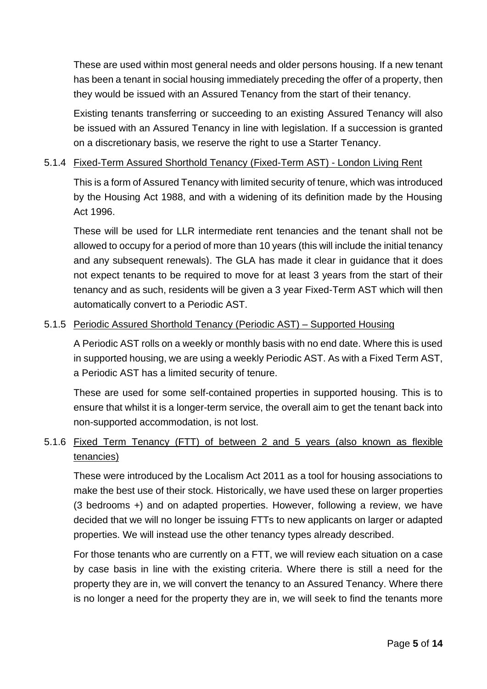These are used within most general needs and older persons housing. If a new tenant has been a tenant in social housing immediately preceding the offer of a property, then they would be issued with an Assured Tenancy from the start of their tenancy.

Existing tenants transferring or succeeding to an existing Assured Tenancy will also be issued with an Assured Tenancy in line with legislation. If a succession is granted on a discretionary basis, we reserve the right to use a Starter Tenancy.

#### 5.1.4 Fixed-Term Assured Shorthold Tenancy (Fixed-Term AST) - London Living Rent

This is a form of Assured Tenancy with limited security of tenure, which was introduced by the Housing Act 1988, and with a widening of its definition made by the Housing Act 1996.

These will be used for LLR intermediate rent tenancies and the tenant shall not be allowed to occupy for a period of more than 10 years (this will include the initial tenancy and any subsequent renewals). The GLA has made it clear in guidance that it does not expect tenants to be required to move for at least 3 years from the start of their tenancy and as such, residents will be given a 3 year Fixed-Term AST which will then automatically convert to a Periodic AST.

# 5.1.5 Periodic Assured Shorthold Tenancy (Periodic AST) – Supported Housing

A Periodic AST rolls on a weekly or monthly basis with no end date. Where this is used in supported housing, we are using a weekly Periodic AST. As with a Fixed Term AST, a Periodic AST has a limited security of tenure.

These are used for some self-contained properties in supported housing. This is to ensure that whilst it is a longer-term service, the overall aim to get the tenant back into non-supported accommodation, is not lost.

# 5.1.6 Fixed Term Tenancy (FTT) of between 2 and 5 years (also known as flexible tenancies)

These were introduced by the Localism Act 2011 as a tool for housing associations to make the best use of their stock. Historically, we have used these on larger properties (3 bedrooms +) and on adapted properties. However, following a review, we have decided that we will no longer be issuing FTTs to new applicants on larger or adapted properties. We will instead use the other tenancy types already described.

For those tenants who are currently on a FTT, we will review each situation on a case by case basis in line with the existing criteria. Where there is still a need for the property they are in, we will convert the tenancy to an Assured Tenancy. Where there is no longer a need for the property they are in, we will seek to find the tenants more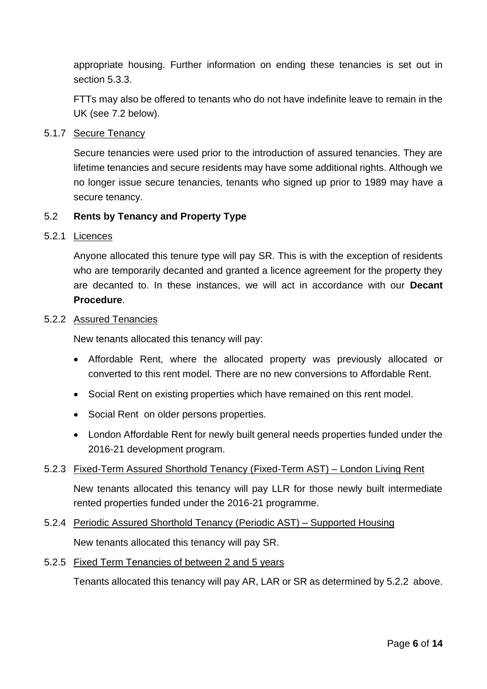appropriate housing. Further information on ending these tenancies is set out in section 5.3.3.

FTTs may also be offered to tenants who do not have indefinite leave to remain in the UK (see 7.2 below).

#### 5.1.7 Secure Tenancy

Secure tenancies were used prior to the introduction of assured tenancies. They are lifetime tenancies and secure residents may have some additional rights. Although we no longer issue secure tenancies, tenants who signed up prior to 1989 may have a secure tenancy.

#### 5.2 **Rents by Tenancy and Property Type**

#### 5.2.1 Licences

Anyone allocated this tenure type will pay SR. This is with the exception of residents who are temporarily decanted and granted a licence agreement for the property they are decanted to. In these instances, we will act in accordance with our **Decant Procedure**.

#### 5.2.2 Assured Tenancies

New tenants allocated this tenancy will pay:

- Affordable Rent, where the allocated property was previously allocated or converted to this rent model. There are no new conversions to Affordable Rent.
- Social Rent on existing properties which have remained on this rent model.
- Social Rent on older persons properties.
- London Affordable Rent for newly built general needs properties funded under the 2016-21 development program.

#### 5.2.3 Fixed-Term Assured Shorthold Tenancy (Fixed-Term AST) – London Living Rent

New tenants allocated this tenancy will pay LLR for those newly built intermediate rented properties funded under the 2016-21 programme.

5.2.4 Periodic Assured Shorthold Tenancy (Periodic AST) – Supported Housing New tenants allocated this tenancy will pay SR.

#### 5.2.5 Fixed Term Tenancies of between 2 and 5 years

Tenants allocated this tenancy will pay AR, LAR or SR as determined by 5.2.2 above.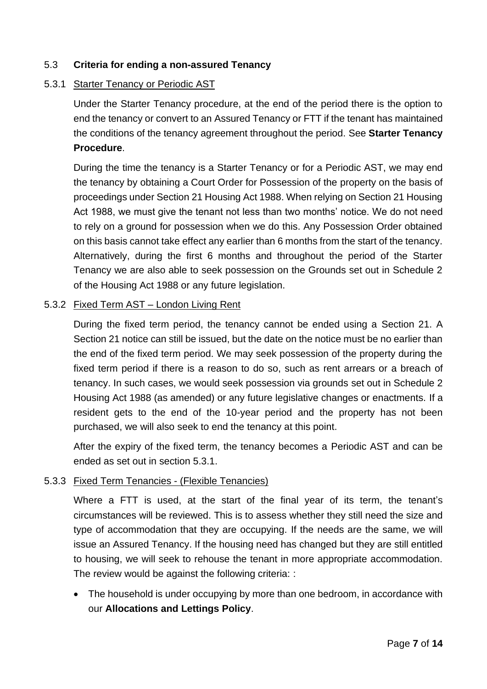# 5.3 **Criteria for ending a non-assured Tenancy**

#### 5.3.1 Starter Tenancy or Periodic AST

Under the Starter Tenancy procedure, at the end of the period there is the option to end the tenancy or convert to an Assured Tenancy or FTT if the tenant has maintained the conditions of the tenancy agreement throughout the period. See **Starter Tenancy Procedure**.

During the time the tenancy is a Starter Tenancy or for a Periodic AST, we may end the tenancy by obtaining a Court Order for Possession of the property on the basis of proceedings under Section 21 Housing Act 1988. When relying on Section 21 Housing Act 1988, we must give the tenant not less than two months' notice. We do not need to rely on a ground for possession when we do this. Any Possession Order obtained on this basis cannot take effect any earlier than 6 months from the start of the tenancy. Alternatively, during the first 6 months and throughout the period of the Starter Tenancy we are also able to seek possession on the Grounds set out in Schedule 2 of the Housing Act 1988 or any future legislation.

#### 5.3.2 Fixed Term AST – London Living Rent

During the fixed term period, the tenancy cannot be ended using a Section 21. A Section 21 notice can still be issued, but the date on the notice must be no earlier than the end of the fixed term period. We may seek possession of the property during the fixed term period if there is a reason to do so, such as rent arrears or a breach of tenancy. In such cases, we would seek possession via grounds set out in Schedule 2 Housing Act 1988 (as amended) or any future legislative changes or enactments. If a resident gets to the end of the 10-year period and the property has not been purchased, we will also seek to end the tenancy at this point.

After the expiry of the fixed term, the tenancy becomes a Periodic AST and can be ended as set out in section 5.3.1.

#### 5.3.3 Fixed Term Tenancies - (Flexible Tenancies)

Where a FTT is used, at the start of the final year of its term, the tenant's circumstances will be reviewed. This is to assess whether they still need the size and type of accommodation that they are occupying. If the needs are the same, we will issue an Assured Tenancy. If the housing need has changed but they are still entitled to housing, we will seek to rehouse the tenant in more appropriate accommodation. The review would be against the following criteria: :

• The household is under occupying by more than one bedroom, in accordance with our **Allocations and Lettings Policy**.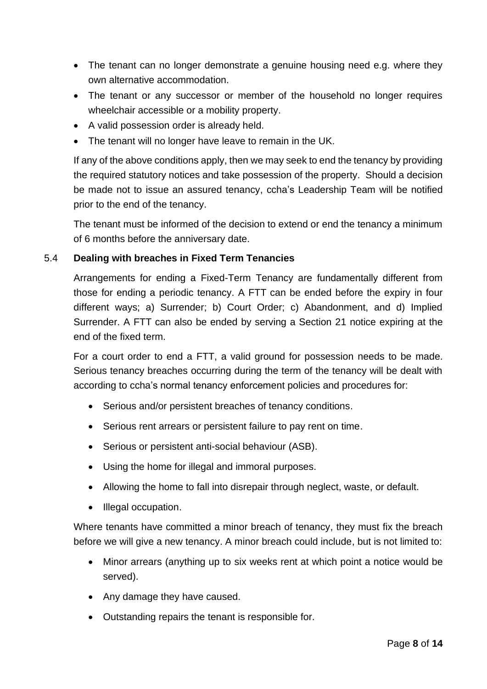- The tenant can no longer demonstrate a genuine housing need e.g. where they own alternative accommodation.
- The tenant or any successor or member of the household no longer requires wheelchair accessible or a mobility property.
- A valid possession order is already held.
- The tenant will no longer have leave to remain in the UK.

If any of the above conditions apply, then we may seek to end the tenancy by providing the required statutory notices and take possession of the property. Should a decision be made not to issue an assured tenancy, ccha's Leadership Team will be notified prior to the end of the tenancy.

The tenant must be informed of the decision to extend or end the tenancy a minimum of 6 months before the anniversary date.

# 5.4 **Dealing with breaches in Fixed Term Tenancies**

Arrangements for ending a Fixed-Term Tenancy are fundamentally different from those for ending a periodic tenancy. A FTT can be ended before the expiry in four different ways; a) Surrender; b) Court Order; c) Abandonment, and d) Implied Surrender. A FTT can also be ended by serving a Section 21 notice expiring at the end of the fixed term.

For a court order to end a FTT, a valid ground for possession needs to be made. Serious tenancy breaches occurring during the term of the tenancy will be dealt with according to ccha's normal tenancy enforcement policies and procedures for:

- Serious and/or persistent breaches of tenancy conditions.
- Serious rent arrears or persistent failure to pay rent on time.
- Serious or persistent anti-social behaviour (ASB).
- Using the home for illegal and immoral purposes.
- Allowing the home to fall into disrepair through neglect, waste, or default.
- Illegal occupation.

Where tenants have committed a minor breach of tenancy, they must fix the breach before we will give a new tenancy. A minor breach could include, but is not limited to:

- Minor arrears (anything up to six weeks rent at which point a notice would be served).
- Any damage they have caused.
- Outstanding repairs the tenant is responsible for.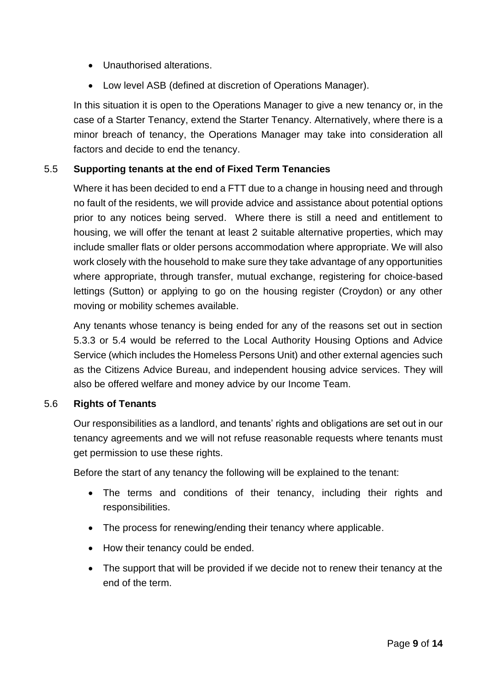- Unauthorised alterations.
- Low level ASB (defined at discretion of Operations Manager).

In this situation it is open to the Operations Manager to give a new tenancy or, in the case of a Starter Tenancy, extend the Starter Tenancy. Alternatively, where there is a minor breach of tenancy, the Operations Manager may take into consideration all factors and decide to end the tenancy.

# 5.5 **Supporting tenants at the end of Fixed Term Tenancies**

Where it has been decided to end a FTT due to a change in housing need and through no fault of the residents, we will provide advice and assistance about potential options prior to any notices being served. Where there is still a need and entitlement to housing, we will offer the tenant at least 2 suitable alternative properties, which may include smaller flats or older persons accommodation where appropriate. We will also work closely with the household to make sure they take advantage of any opportunities where appropriate, through transfer, mutual exchange, registering for choice-based lettings (Sutton) or applying to go on the housing register (Croydon) or any other moving or mobility schemes available.

Any tenants whose tenancy is being ended for any of the reasons set out in section 5.3.3 or 5.4 would be referred to the Local Authority Housing Options and Advice Service (which includes the Homeless Persons Unit) and other external agencies such as the Citizens Advice Bureau, and independent housing advice services. They will also be offered welfare and money advice by our Income Team.

# 5.6 **Rights of Tenants**

Our responsibilities as a landlord, and tenants' rights and obligations are set out in our tenancy agreements and we will not refuse reasonable requests where tenants must get permission to use these rights.

Before the start of any tenancy the following will be explained to the tenant:

- The terms and conditions of their tenancy, including their rights and responsibilities.
- The process for renewing/ending their tenancy where applicable.
- How their tenancy could be ended.
- The support that will be provided if we decide not to renew their tenancy at the end of the term.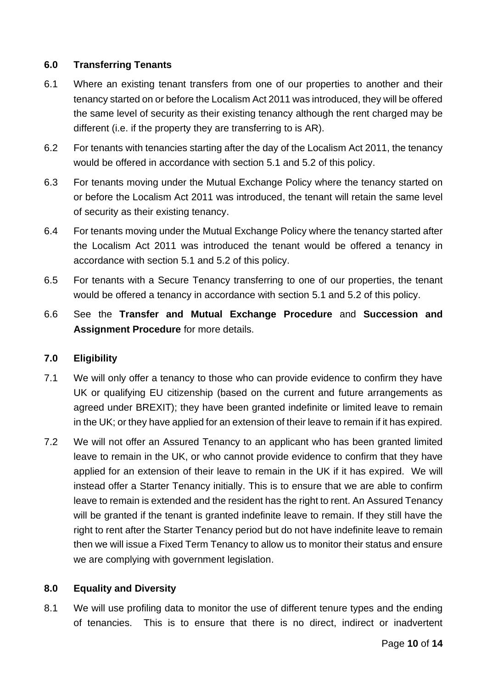#### **6.0 Transferring Tenants**

- 6.1 Where an existing tenant transfers from one of our properties to another and their tenancy started on or before the Localism Act 2011 was introduced, they will be offered the same level of security as their existing tenancy although the rent charged may be different (i.e. if the property they are transferring to is AR).
- 6.2 For tenants with tenancies starting after the day of the Localism Act 2011, the tenancy would be offered in accordance with section 5.1 and 5.2 of this policy.
- 6.3 For tenants moving under the Mutual Exchange Policy where the tenancy started on or before the Localism Act 2011 was introduced, the tenant will retain the same level of security as their existing tenancy.
- 6.4 For tenants moving under the Mutual Exchange Policy where the tenancy started after the Localism Act 2011 was introduced the tenant would be offered a tenancy in accordance with section 5.1 and 5.2 of this policy.
- 6.5 For tenants with a Secure Tenancy transferring to one of our properties, the tenant would be offered a tenancy in accordance with section 5.1 and 5.2 of this policy.
- 6.6 See the **Transfer and Mutual Exchange Procedure** and **Succession and Assignment Procedure** for more details.

#### **7.0 Eligibility**

- 7.1 We will only offer a tenancy to those who can provide evidence to confirm they have UK or qualifying EU citizenship (based on the current and future arrangements as agreed under BREXIT); they have been granted indefinite or limited leave to remain in the UK; or they have applied for an extension of their leave to remain if it has expired.
- 7.2 We will not offer an Assured Tenancy to an applicant who has been granted limited leave to remain in the UK, or who cannot provide evidence to confirm that they have applied for an extension of their leave to remain in the UK if it has expired. We will instead offer a Starter Tenancy initially. This is to ensure that we are able to confirm leave to remain is extended and the resident has the right to rent. An Assured Tenancy will be granted if the tenant is granted indefinite leave to remain. If they still have the right to rent after the Starter Tenancy period but do not have indefinite leave to remain then we will issue a Fixed Term Tenancy to allow us to monitor their status and ensure we are complying with government legislation.

#### **8.0 Equality and Diversity**

8.1 We will use profiling data to monitor the use of different tenure types and the ending of tenancies. This is to ensure that there is no direct, indirect or inadvertent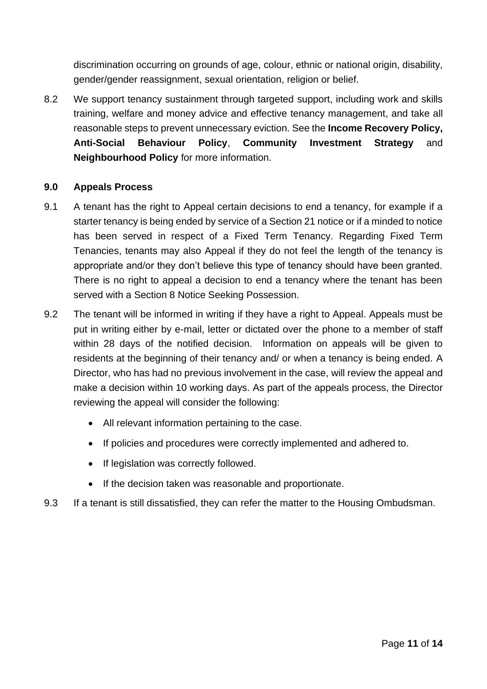discrimination occurring on grounds of age, colour, ethnic or national origin, disability, gender/gender reassignment, sexual orientation, religion or belief.

8.2 We support tenancy sustainment through targeted support, including work and skills training, welfare and money advice and effective tenancy management, and take all reasonable steps to prevent unnecessary eviction. See the **Income Recovery Policy, Anti-Social Behaviour Policy**, **Community Investment Strategy** and **Neighbourhood Policy** for more information.

#### **9.0 Appeals Process**

- 9.1 A tenant has the right to Appeal certain decisions to end a tenancy, for example if a starter tenancy is being ended by service of a Section 21 notice or if a minded to notice has been served in respect of a Fixed Term Tenancy. Regarding Fixed Term Tenancies, tenants may also Appeal if they do not feel the length of the tenancy is appropriate and/or they don't believe this type of tenancy should have been granted. There is no right to appeal a decision to end a tenancy where the tenant has been served with a Section 8 Notice Seeking Possession.
- 9.2 The tenant will be informed in writing if they have a right to Appeal. Appeals must be put in writing either by e-mail, letter or dictated over the phone to a member of staff within 28 days of the notified decision. Information on appeals will be given to residents at the beginning of their tenancy and/ or when a tenancy is being ended. A Director, who has had no previous involvement in the case, will review the appeal and make a decision within 10 working days. As part of the appeals process, the Director reviewing the appeal will consider the following:
	- All relevant information pertaining to the case.
	- If policies and procedures were correctly implemented and adhered to.
	- If legislation was correctly followed.
	- If the decision taken was reasonable and proportionate.
- 9.3 If a tenant is still dissatisfied, they can refer the matter to the Housing Ombudsman.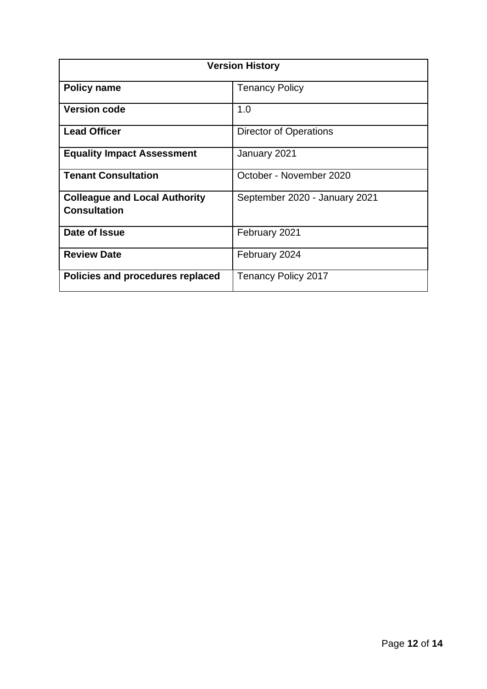| <b>Version History</b>                                      |                               |  |
|-------------------------------------------------------------|-------------------------------|--|
| <b>Policy name</b>                                          | <b>Tenancy Policy</b>         |  |
| <b>Version code</b>                                         | 1.0                           |  |
| <b>Lead Officer</b>                                         | <b>Director of Operations</b> |  |
| <b>Equality Impact Assessment</b>                           | January 2021                  |  |
| <b>Tenant Consultation</b>                                  | October - November 2020       |  |
| <b>Colleague and Local Authority</b><br><b>Consultation</b> | September 2020 - January 2021 |  |
| Date of Issue                                               | February 2021                 |  |
| <b>Review Date</b>                                          | February 2024                 |  |
| Policies and procedures replaced                            | <b>Tenancy Policy 2017</b>    |  |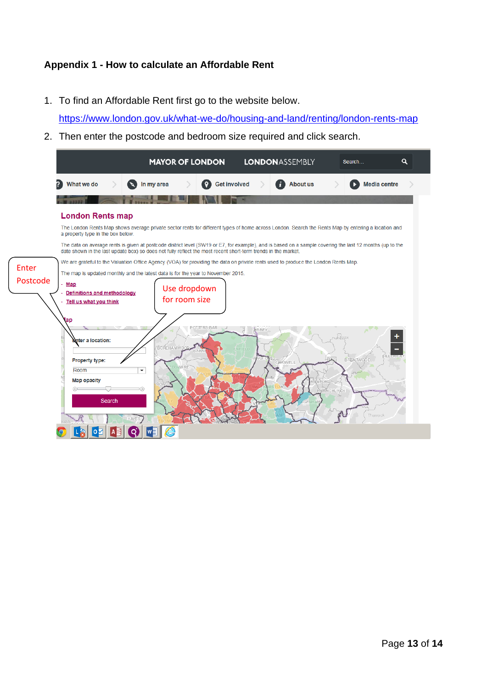# **Appendix 1 - How to calculate an Affordable Rent**

1. To find an Affordable Rent first go to the website below.

<https://www.london.gov.uk/what-we-do/housing-and-land/renting/london-rents-map>

2. Then enter the postcode and bedroom size required and click search.

|              | <b>MAYOR OF LONDON</b><br><b>LONDONASSEMBLY</b><br>Q<br>Search                                                                                                                                                                                                                                            |  |  |  |
|--------------|-----------------------------------------------------------------------------------------------------------------------------------------------------------------------------------------------------------------------------------------------------------------------------------------------------------|--|--|--|
|              | ?<br>What we do<br><b>Get involved</b><br><b>About us</b><br><b>Media centre</b><br>In my area                                                                                                                                                                                                            |  |  |  |
|              |                                                                                                                                                                                                                                                                                                           |  |  |  |
|              | <b>London Rents map</b>                                                                                                                                                                                                                                                                                   |  |  |  |
|              | The London Rents Map shows average private sector rents for different types of home across London. Search the Rents Map by entering a location and<br>a property type in the box below.                                                                                                                   |  |  |  |
|              | The data on average rents is given at postcode district level (SW19 or E7, for example), and is based on a sample covering the last 12 months (up to the<br>date shown in the last update box) so does not fully reflect the most recent short-term trends in the market.                                 |  |  |  |
| <b>Enter</b> | We are grateful to the Valuation Office Agency (VOA) for providing the data on private rents used to produce the London Rents Map.                                                                                                                                                                        |  |  |  |
| Postcode     | The map is updated monthly and the latest data is for the year to November 2015.<br>Map<br>Use dropdown<br>Definitions and methodology<br>for room size<br>Tell us what you think<br>1ap<br><b>POTTERS BAR</b><br>BBEY<br>Elsex<br><b>L'nter a location:</b><br><b>BOREHAMW</b><br><b>ENEIEUD</b><br>BARI |  |  |  |
|              | <b>BRENTWOOD</b><br><b>Property type:</b><br>CHIGWELL<br><b>MARE</b><br>$\overline{\phantom{a}}$<br>Room<br><b>Map opacity</b><br>RNCHURCH<br>Search<br>Thurrock<br><b>HAYES</b>                                                                                                                          |  |  |  |
|              |                                                                                                                                                                                                                                                                                                           |  |  |  |